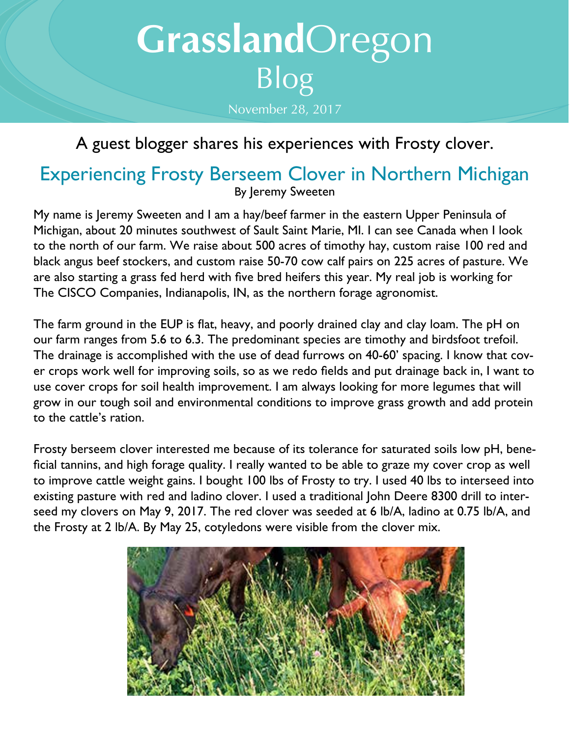## **Grassland**Oregon Blog November 28, 2017

## A guest blogger shares his experiences with Frosty clover.

## Experiencing Frosty Berseem Clover in Northern Michigan By Jeremy Sweeten

My name is Jeremy Sweeten and I am a hay/beef farmer in the eastern Upper Peninsula of Michigan, about 20 minutes southwest of Sault Saint Marie, MI. I can see Canada when I look to the north of our farm. We raise about 500 acres of timothy hay, custom raise 100 red and black angus beef stockers, and custom raise 50-70 cow calf pairs on 225 acres of pasture. We are also starting a grass fed herd with five bred heifers this year. My real job is working for The CISCO Companies, Indianapolis, IN, as the northern forage agronomist.

The farm ground in the EUP is flat, heavy, and poorly drained clay and clay loam. The pH on our farm ranges from 5.6 to 6.3. The predominant species are timothy and birdsfoot trefoil. The drainage is accomplished with the use of dead furrows on 40-60' spacing. I know that cover crops work well for improving soils, so as we redo fields and put drainage back in, I want to use cover crops for soil health improvement. I am always looking for more legumes that will grow in our tough soil and environmental conditions to improve grass growth and add protein to the cattle's ration.

Frosty berseem clover interested me because of its tolerance for saturated soils low pH, beneficial tannins, and high forage quality. I really wanted to be able to graze my cover crop as well to improve cattle weight gains. I bought 100 lbs of Frosty to try. I used 40 lbs to interseed into existing pasture with red and ladino clover. I used a traditional John Deere 8300 drill to interseed my clovers on May 9, 2017. The red clover was seeded at 6 lb/A, ladino at 0.75 lb/A, and the Frosty at 2 lb/A. By May 25, cotyledons were visible from the clover mix.